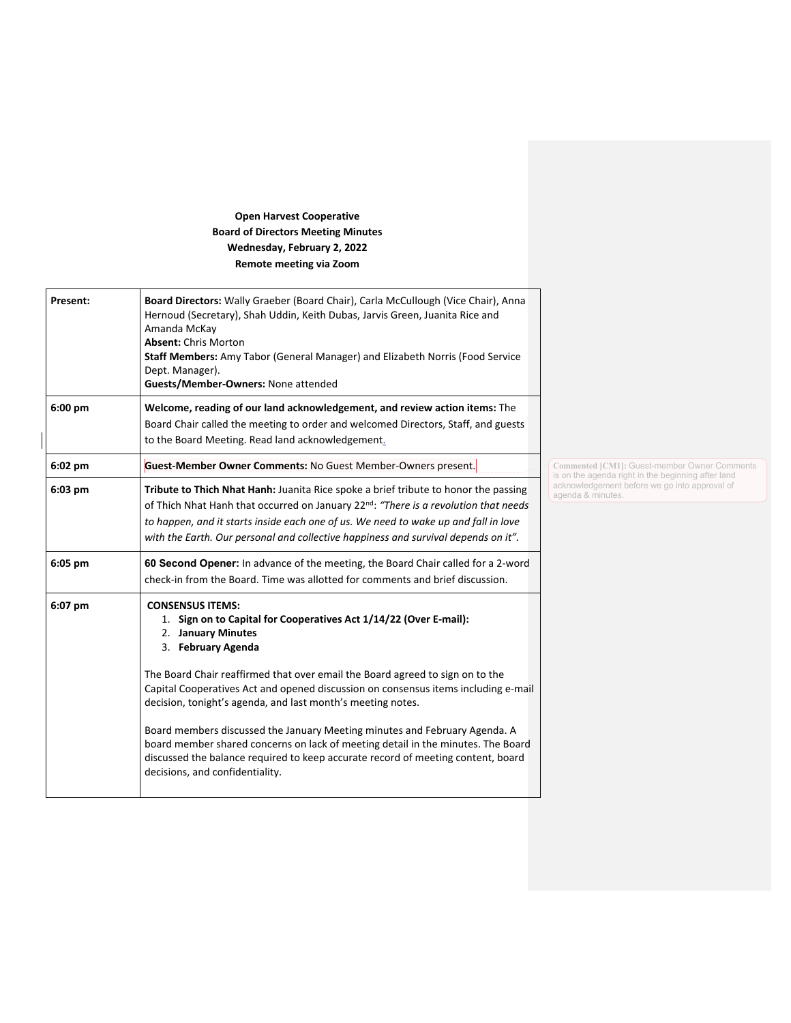## **Open Harvest Cooperative Board of Directors Meeting Minutes Wednesday, February 2, 2022 Remote meeting via Zoom**

| Present:  | Board Directors: Wally Graeber (Board Chair), Carla McCullough (Vice Chair), Anna<br>Hernoud (Secretary), Shah Uddin, Keith Dubas, Jarvis Green, Juanita Rice and<br>Amanda McKay<br><b>Absent: Chris Morton</b><br>Staff Members: Amy Tabor (General Manager) and Elizabeth Norris (Food Service<br>Dept. Manager).<br>Guests/Member-Owners: None attended          |                                                                                                    |
|-----------|----------------------------------------------------------------------------------------------------------------------------------------------------------------------------------------------------------------------------------------------------------------------------------------------------------------------------------------------------------------------|----------------------------------------------------------------------------------------------------|
| 6:00 pm   | Welcome, reading of our land acknowledgement, and review action items: The<br>Board Chair called the meeting to order and welcomed Directors, Staff, and guests<br>to the Board Meeting. Read land acknowledgement.                                                                                                                                                  |                                                                                                    |
| 6:02 pm   | Guest-Member Owner Comments: No Guest Member-Owners present.                                                                                                                                                                                                                                                                                                         | Commented [CM1]: Guest-member Owner Comments<br>is on the agenda right in the beginning after land |
| $6:03$ pm | Tribute to Thich Nhat Hanh: Juanita Rice spoke a brief tribute to honor the passing<br>of Thich Nhat Hanh that occurred on January 22 <sup>nd</sup> : "There is a revolution that needs<br>to happen, and it starts inside each one of us. We need to wake up and fall in love<br>with the Earth. Our personal and collective happiness and survival depends on it". | acknowledgement before we go into approval of<br>agenda & minutes.                                 |
| 6:05 pm   | 60 Second Opener: In advance of the meeting, the Board Chair called for a 2-word<br>check-in from the Board. Time was allotted for comments and brief discussion.                                                                                                                                                                                                    |                                                                                                    |
| 6:07 pm   | <b>CONSENSUS ITEMS:</b><br>1. Sign on to Capital for Cooperatives Act 1/14/22 (Over E-mail):<br>2. January Minutes<br>3. February Agenda                                                                                                                                                                                                                             |                                                                                                    |
|           | The Board Chair reaffirmed that over email the Board agreed to sign on to the<br>Capital Cooperatives Act and opened discussion on consensus items including e-mail<br>decision, tonight's agenda, and last month's meeting notes.                                                                                                                                   |                                                                                                    |
|           | Board members discussed the January Meeting minutes and February Agenda. A<br>board member shared concerns on lack of meeting detail in the minutes. The Board<br>discussed the balance required to keep accurate record of meeting content, board<br>decisions, and confidentiality.                                                                                |                                                                                                    |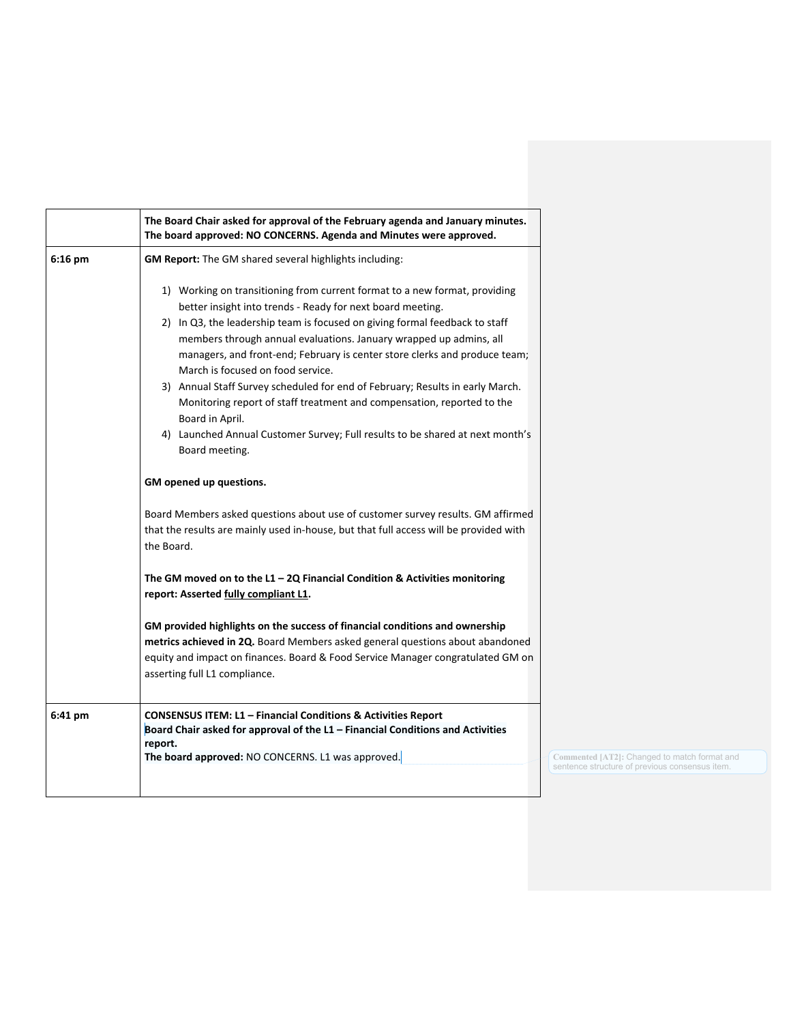|           | The Board Chair asked for approval of the February agenda and January minutes.<br>The board approved: NO CONCERNS. Agenda and Minutes were approved.                                                                                                                                                                                                                                                                                                                                                                                                                                                                                                                                                                                                                                                                                                                                                                                                                                                                                                                                                                                                                                                                                                                                                                               |  |
|-----------|------------------------------------------------------------------------------------------------------------------------------------------------------------------------------------------------------------------------------------------------------------------------------------------------------------------------------------------------------------------------------------------------------------------------------------------------------------------------------------------------------------------------------------------------------------------------------------------------------------------------------------------------------------------------------------------------------------------------------------------------------------------------------------------------------------------------------------------------------------------------------------------------------------------------------------------------------------------------------------------------------------------------------------------------------------------------------------------------------------------------------------------------------------------------------------------------------------------------------------------------------------------------------------------------------------------------------------|--|
| $6:16$ pm | GM Report: The GM shared several highlights including:                                                                                                                                                                                                                                                                                                                                                                                                                                                                                                                                                                                                                                                                                                                                                                                                                                                                                                                                                                                                                                                                                                                                                                                                                                                                             |  |
|           | 1) Working on transitioning from current format to a new format, providing<br>better insight into trends - Ready for next board meeting.<br>2) In Q3, the leadership team is focused on giving formal feedback to staff<br>members through annual evaluations. January wrapped up admins, all<br>managers, and front-end; February is center store clerks and produce team;<br>March is focused on food service.<br>3) Annual Staff Survey scheduled for end of February; Results in early March.<br>Monitoring report of staff treatment and compensation, reported to the<br>Board in April.<br>4) Launched Annual Customer Survey; Full results to be shared at next month's<br>Board meeting.<br>GM opened up questions.<br>Board Members asked questions about use of customer survey results. GM affirmed<br>that the results are mainly used in-house, but that full access will be provided with<br>the Board.<br>The GM moved on to the $L1 - 2Q$ Financial Condition & Activities monitoring<br>report: Asserted fully compliant L1.<br>GM provided highlights on the success of financial conditions and ownership<br>metrics achieved in 2Q. Board Members asked general questions about abandoned<br>equity and impact on finances. Board & Food Service Manager congratulated GM on<br>asserting full L1 compliance. |  |
| 6:41 pm   | <b>CONSENSUS ITEM: L1 - Financial Conditions &amp; Activities Report</b><br>Board Chair asked for approval of the L1 - Financial Conditions and Activities<br>report.                                                                                                                                                                                                                                                                                                                                                                                                                                                                                                                                                                                                                                                                                                                                                                                                                                                                                                                                                                                                                                                                                                                                                              |  |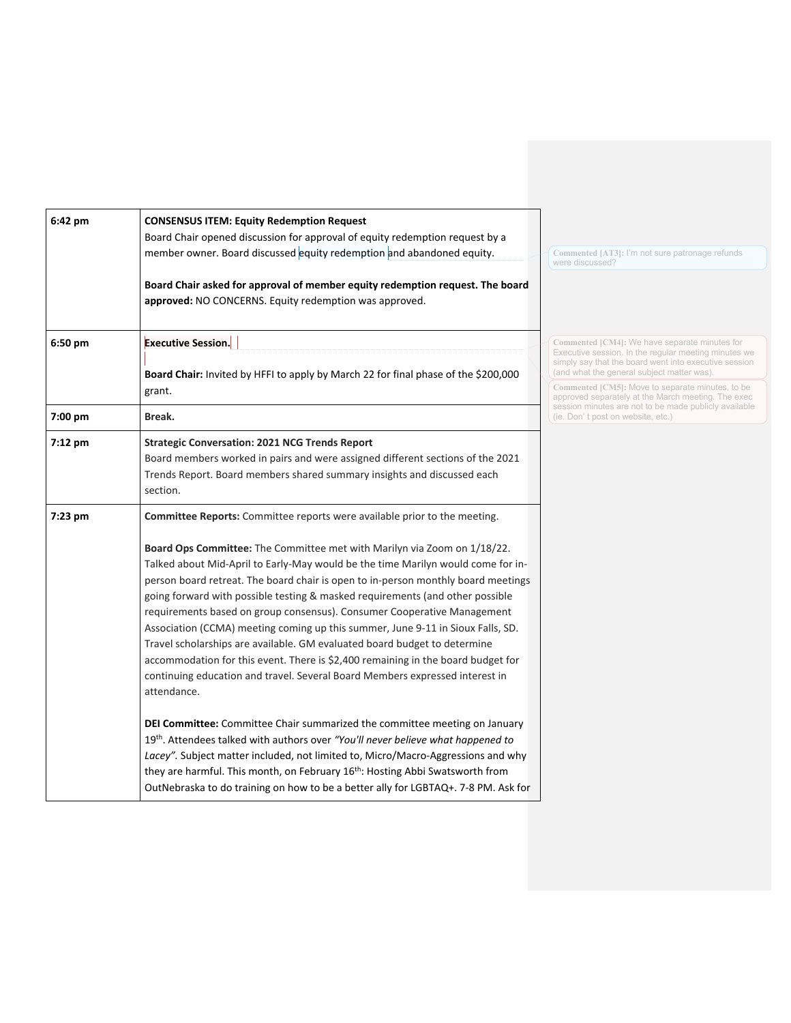| 6:42 pm | <b>CONSENSUS ITEM: Equity Redemption Request</b>                                                                                                           |                                                                                                                                                                 |
|---------|------------------------------------------------------------------------------------------------------------------------------------------------------------|-----------------------------------------------------------------------------------------------------------------------------------------------------------------|
|         | Board Chair opened discussion for approval of equity redemption request by a                                                                               |                                                                                                                                                                 |
|         | member owner. Board discussed equity redemption and abandoned equity.                                                                                      | Commented [AT3]: I'm not sure patronage refunds<br>were discussed?                                                                                              |
|         | Board Chair asked for approval of member equity redemption request. The board                                                                              |                                                                                                                                                                 |
|         | approved: NO CONCERNS. Equity redemption was approved.                                                                                                     |                                                                                                                                                                 |
| 6:50 pm | <b>Executive Session.</b>                                                                                                                                  | Commented [CM4]: We have separate minutes for<br>Executive session. In the regular meeting minutes we                                                           |
|         | Board Chair: Invited by HFFI to apply by March 22 for final phase of the \$200,000                                                                         | simply say that the board went into executive session<br>(and what the general subject matter was).                                                             |
|         | grant.                                                                                                                                                     | Commented [CM5]: Move to separate minutes, to be<br>approved separately at the March meeting. The exec<br>session minutes are not to be made publicly available |
| 7:00 pm | Break.                                                                                                                                                     | (ie. Don't post on website, etc.)                                                                                                                               |
| 7:12 pm | <b>Strategic Conversation: 2021 NCG Trends Report</b>                                                                                                      |                                                                                                                                                                 |
|         | Board members worked in pairs and were assigned different sections of the 2021                                                                             |                                                                                                                                                                 |
|         | Trends Report. Board members shared summary insights and discussed each<br>section.                                                                        |                                                                                                                                                                 |
| 7:23 pm | Committee Reports: Committee reports were available prior to the meeting.                                                                                  |                                                                                                                                                                 |
|         | Board Ops Committee: The Committee met with Marilyn via Zoom on 1/18/22.                                                                                   |                                                                                                                                                                 |
|         | Talked about Mid-April to Early-May would be the time Marilyn would come for in-                                                                           |                                                                                                                                                                 |
|         | person board retreat. The board chair is open to in-person monthly board meetings                                                                          |                                                                                                                                                                 |
|         | going forward with possible testing & masked requirements (and other possible                                                                              |                                                                                                                                                                 |
|         | requirements based on group consensus). Consumer Cooperative Management<br>Association (CCMA) meeting coming up this summer, June 9-11 in Sioux Falls, SD. |                                                                                                                                                                 |
|         | Travel scholarships are available. GM evaluated board budget to determine                                                                                  |                                                                                                                                                                 |
|         | accommodation for this event. There is \$2,400 remaining in the board budget for                                                                           |                                                                                                                                                                 |
|         | continuing education and travel. Several Board Members expressed interest in                                                                               |                                                                                                                                                                 |
|         | attendance.                                                                                                                                                |                                                                                                                                                                 |
|         | DEI Committee: Committee Chair summarized the committee meeting on January                                                                                 |                                                                                                                                                                 |
|         | 19th. Attendees talked with authors over "You'll never believe what happened to                                                                            |                                                                                                                                                                 |
|         | Lacey". Subject matter included, not limited to, Micro/Macro-Aggressions and why                                                                           |                                                                                                                                                                 |
|         | they are harmful. This month, on February 16 <sup>th</sup> : Hosting Abbi Swatsworth from                                                                  |                                                                                                                                                                 |
|         | OutNebraska to do training on how to be a better ally for LGBTAQ+. 7-8 PM. Ask for                                                                         |                                                                                                                                                                 |